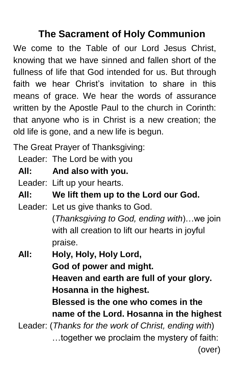## **The Sacrament of Holy Communion**

We come to the Table of our Lord Jesus Christ, knowing that we have sinned and fallen short of the fullness of life that God intended for us. But through faith we hear Christ's invitation to share in this means of grace. We hear the words of assurance written by the Apostle Paul to the church in Corinth: that anyone who is in Christ is a new creation; the old life is gone, and a new life is begun.

The Great Prayer of Thanksgiving:

Leader: The Lord be with you

**All: And also with you.**

Leader: Lift up your hearts.

**All: We lift them up to the Lord our God.**

Leader: Let us give thanks to God.

(*Thanksgiving to God, ending with*)…we join with all creation to lift our hearts in joyful praise.

 **All: Holy, Holy, Holy Lord, God of power and might. Heaven and earth are full of your glory. Hosanna in the highest. Blessed is the one who comes in the name of the Lord. Hosanna in the highest** Leader: (*Thanks for the work of Christ, ending with*)

…together we proclaim the mystery of faith: